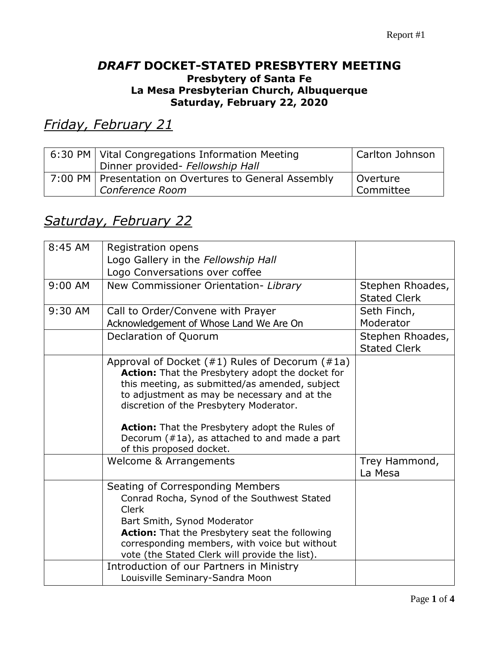## *DRAFT* **DOCKET-STATED PRESBYTERY MEETING Presbytery of Santa Fe La Mesa Presbyterian Church, Albuquerque Saturday, February 22, 2020**

*Friday, February 21*

| 6:30 PM   Vital Congregations Information Meeting       | Carlton Johnson |
|---------------------------------------------------------|-----------------|
| Dinner provided- Fellowship Hall                        |                 |
| 7:00 PM   Presentation on Overtures to General Assembly | Overture        |
| Conference Room                                         | Committee       |

## *Saturday, February 22*

| 8:45 AM   | Registration opens                                                                         |                     |
|-----------|--------------------------------------------------------------------------------------------|---------------------|
|           | Logo Gallery in the Fellowship Hall                                                        |                     |
|           | Logo Conversations over coffee                                                             |                     |
| $9:00$ AM | New Commissioner Orientation- Library                                                      | Stephen Rhoades,    |
|           |                                                                                            | <b>Stated Clerk</b> |
| 9:30 AM   | Call to Order/Convene with Prayer                                                          | Seth Finch,         |
|           | Acknowledgement of Whose Land We Are On                                                    | Moderator           |
|           | Declaration of Quorum                                                                      | Stephen Rhoades,    |
|           |                                                                                            | <b>Stated Clerk</b> |
|           | Approval of Docket $(#1)$ Rules of Decorum $(*1a)$                                         |                     |
|           | Action: That the Presbytery adopt the docket for                                           |                     |
|           | this meeting, as submitted/as amended, subject                                             |                     |
|           | to adjustment as may be necessary and at the<br>discretion of the Presbytery Moderator.    |                     |
|           |                                                                                            |                     |
|           | <b>Action:</b> That the Presbytery adopt the Rules of                                      |                     |
|           | Decorum (#1a), as attached to and made a part                                              |                     |
|           | of this proposed docket.                                                                   |                     |
|           | Welcome & Arrangements                                                                     | Trey Hammond,       |
|           |                                                                                            | La Mesa             |
|           | Seating of Corresponding Members                                                           |                     |
|           | Conrad Rocha, Synod of the Southwest Stated                                                |                     |
|           | <b>Clerk</b>                                                                               |                     |
|           | Bart Smith, Synod Moderator                                                                |                     |
|           | Action: That the Presbytery seat the following                                             |                     |
|           | corresponding members, with voice but without                                              |                     |
|           | vote (the Stated Clerk will provide the list).<br>Introduction of our Partners in Ministry |                     |
|           | Louisville Seminary-Sandra Moon                                                            |                     |
|           |                                                                                            |                     |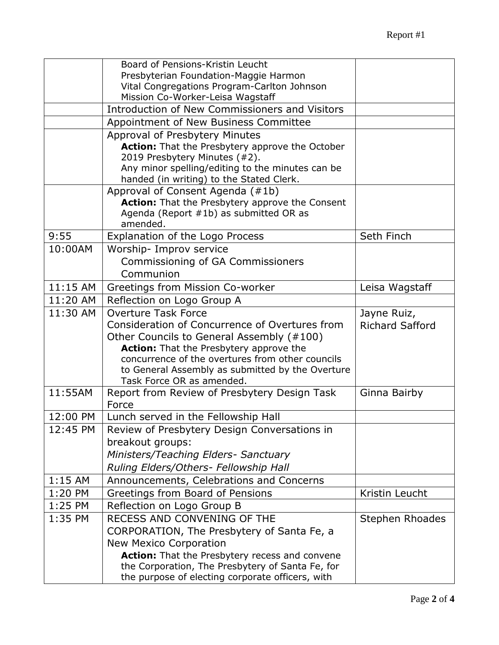|           | Board of Pensions-Kristin Leucht                                                                     |                        |
|-----------|------------------------------------------------------------------------------------------------------|------------------------|
|           | Presbyterian Foundation-Maggie Harmon                                                                |                        |
|           | Vital Congregations Program-Carlton Johnson                                                          |                        |
|           | Mission Co-Worker-Leisa Wagstaff<br>Introduction of New Commissioners and Visitors                   |                        |
|           |                                                                                                      |                        |
|           | Appointment of New Business Committee                                                                |                        |
|           | Approval of Presbytery Minutes<br><b>Action:</b> That the Presbytery approve the October             |                        |
|           | 2019 Presbytery Minutes (#2).                                                                        |                        |
|           | Any minor spelling/editing to the minutes can be                                                     |                        |
|           | handed (in writing) to the Stated Clerk.                                                             |                        |
|           | Approval of Consent Agenda (#1b)                                                                     |                        |
|           | Action: That the Presbytery approve the Consent                                                      |                        |
|           | Agenda (Report #1b) as submitted OR as<br>amended.                                                   |                        |
| 9:55      | Explanation of the Logo Process                                                                      | Seth Finch             |
| 10:00AM   | Worship- Improv service                                                                              |                        |
|           | Commissioning of GA Commissioners                                                                    |                        |
|           | Communion                                                                                            |                        |
| 11:15 AM  | Greetings from Mission Co-worker                                                                     | Leisa Wagstaff         |
| 11:20 AM  | Reflection on Logo Group A                                                                           |                        |
| 11:30 AM  | <b>Overture Task Force</b>                                                                           | Jayne Ruiz,            |
|           | Consideration of Concurrence of Overtures from                                                       | <b>Richard Safford</b> |
|           | Other Councils to General Assembly (#100)                                                            |                        |
|           | <b>Action:</b> That the Presbytery approve the                                                       |                        |
|           | concurrence of the overtures from other councils                                                     |                        |
|           | to General Assembly as submitted by the Overture<br>Task Force OR as amended.                        |                        |
| 11:55AM   | Report from Review of Presbytery Design Task                                                         | Ginna Bairby           |
|           | Force                                                                                                |                        |
| 12:00 PM  | Lunch served in the Fellowship Hall                                                                  |                        |
| 12:45 PM  | Review of Presbytery Design Conversations in                                                         |                        |
|           | breakout groups:                                                                                     |                        |
|           | Ministers/Teaching Elders- Sanctuary                                                                 |                        |
|           | Ruling Elders/Others- Fellowship Hall                                                                |                        |
| $1:15$ AM | Announcements, Celebrations and Concerns                                                             |                        |
| 1:20 PM   | Greetings from Board of Pensions                                                                     | Kristin Leucht         |
| $1:25$ PM | Reflection on Logo Group B                                                                           |                        |
| 1:35 PM   | RECESS AND CONVENING OF THE                                                                          | Stephen Rhoades        |
|           | CORPORATION, The Presbytery of Santa Fe, a                                                           |                        |
|           | <b>New Mexico Corporation</b>                                                                        |                        |
|           | Action: That the Presbytery recess and convene                                                       |                        |
|           | the Corporation, The Presbytery of Santa Fe, for<br>the purpose of electing corporate officers, with |                        |
|           |                                                                                                      |                        |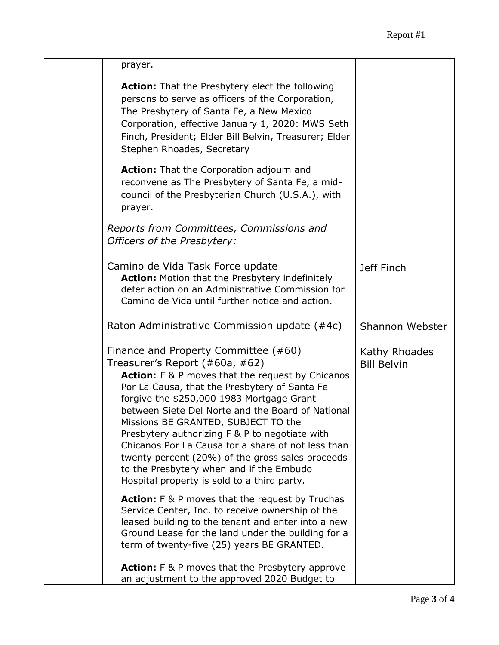| prayer.                                                                                                                                                                                                                                                                                                                                                                                                                                                                                                                                                                     |                                     |
|-----------------------------------------------------------------------------------------------------------------------------------------------------------------------------------------------------------------------------------------------------------------------------------------------------------------------------------------------------------------------------------------------------------------------------------------------------------------------------------------------------------------------------------------------------------------------------|-------------------------------------|
| <b>Action:</b> That the Presbytery elect the following<br>persons to serve as officers of the Corporation,<br>The Presbytery of Santa Fe, a New Mexico<br>Corporation, effective January 1, 2020: MWS Seth<br>Finch, President; Elder Bill Belvin, Treasurer; Elder<br>Stephen Rhoades, Secretary                                                                                                                                                                                                                                                                           |                                     |
| Action: That the Corporation adjourn and<br>reconvene as The Presbytery of Santa Fe, a mid-<br>council of the Presbyterian Church (U.S.A.), with<br>prayer.                                                                                                                                                                                                                                                                                                                                                                                                                 |                                     |
| Reports from Committees, Commissions and<br>Officers of the Presbytery:                                                                                                                                                                                                                                                                                                                                                                                                                                                                                                     |                                     |
| Camino de Vida Task Force update<br><b>Action:</b> Motion that the Presbytery indefinitely<br>defer action on an Administrative Commission for<br>Camino de Vida until further notice and action.                                                                                                                                                                                                                                                                                                                                                                           | Jeff Finch                          |
| Raton Administrative Commission update (#4c)                                                                                                                                                                                                                                                                                                                                                                                                                                                                                                                                | Shannon Webster                     |
| Finance and Property Committee (#60)<br>Treasurer's Report (#60a, #62)<br>Action: F & P moves that the request by Chicanos<br>Por La Causa, that the Presbytery of Santa Fe<br>forgive the \$250,000 1983 Mortgage Grant<br>between Siete Del Norte and the Board of National<br>Missions BE GRANTED, SUBJECT TO the<br>Presbytery authorizing F & P to negotiate with<br>Chicanos Por La Causa for a share of not less than<br>twenty percent (20%) of the gross sales proceeds<br>to the Presbytery when and if the Embudo<br>Hospital property is sold to a third party. | Kathy Rhoades<br><b>Bill Belvin</b> |
| <b>Action:</b> F & P moves that the request by Truchas<br>Service Center, Inc. to receive ownership of the<br>leased building to the tenant and enter into a new<br>Ground Lease for the land under the building for a<br>term of twenty-five (25) years BE GRANTED.                                                                                                                                                                                                                                                                                                        |                                     |
| <b>Action:</b> F & P moves that the Presbytery approve<br>an adjustment to the approved 2020 Budget to                                                                                                                                                                                                                                                                                                                                                                                                                                                                      |                                     |